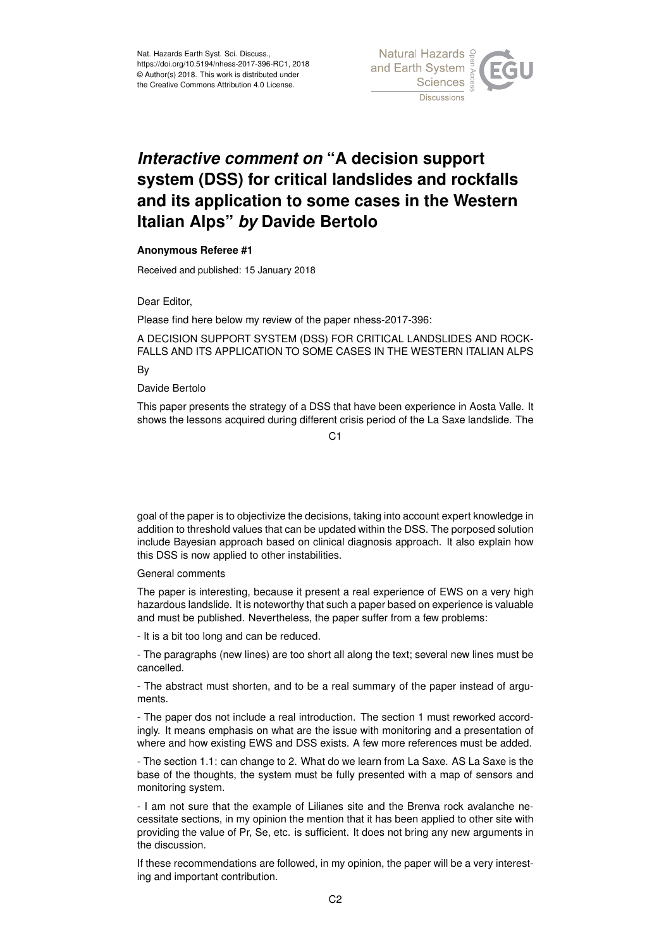

## *Interactive comment on* **"A decision support system (DSS) for critical landslides and rockfalls and its application to some cases in the Western Italian Alps"** *by* **Davide Bertolo**

## **Anonymous Referee #1**

Received and published: 15 January 2018

Dear Editor,

Please find here below my review of the paper nhess-2017-396:

A DECISION SUPPORT SYSTEM (DSS) FOR CRITICAL LANDSLIDES AND ROCK-FALLS AND ITS APPLICATION TO SOME CASES IN THE WESTERN ITALIAN ALPS

By

## Davide Bertolo

This paper presents the strategy of a DSS that have been experience in Aosta Valle. It shows the lessons acquired during different crisis period of the La Saxe landslide. The

 $C<sub>1</sub>$ 

goal of the paper is to objectivize the decisions, taking into account expert knowledge in addition to threshold values that can be updated within the DSS. The porposed solution include Bayesian approach based on clinical diagnosis approach. It also explain how this DSS is now applied to other instabilities.

## General comments

The paper is interesting, because it present a real experience of EWS on a very high hazardous landslide. It is noteworthy that such a paper based on experience is valuable and must be published. Nevertheless, the paper suffer from a few problems:

- It is a bit too long and can be reduced.

- The paragraphs (new lines) are too short all along the text; several new lines must be cancelled.

- The abstract must shorten, and to be a real summary of the paper instead of arguments.

- The paper dos not include a real introduction. The section 1 must reworked accordingly. It means emphasis on what are the issue with monitoring and a presentation of where and how existing EWS and DSS exists. A few more references must be added.

- The section 1.1: can change to 2. What do we learn from La Saxe. AS La Saxe is the base of the thoughts, the system must be fully presented with a map of sensors and monitoring system.

- I am not sure that the example of Lilianes site and the Brenva rock avalanche necessitate sections, in my opinion the mention that it has been applied to other site with providing the value of Pr, Se, etc. is sufficient. It does not bring any new arguments in the discussion.

If these recommendations are followed, in my opinion, the paper will be a very interesting and important contribution.